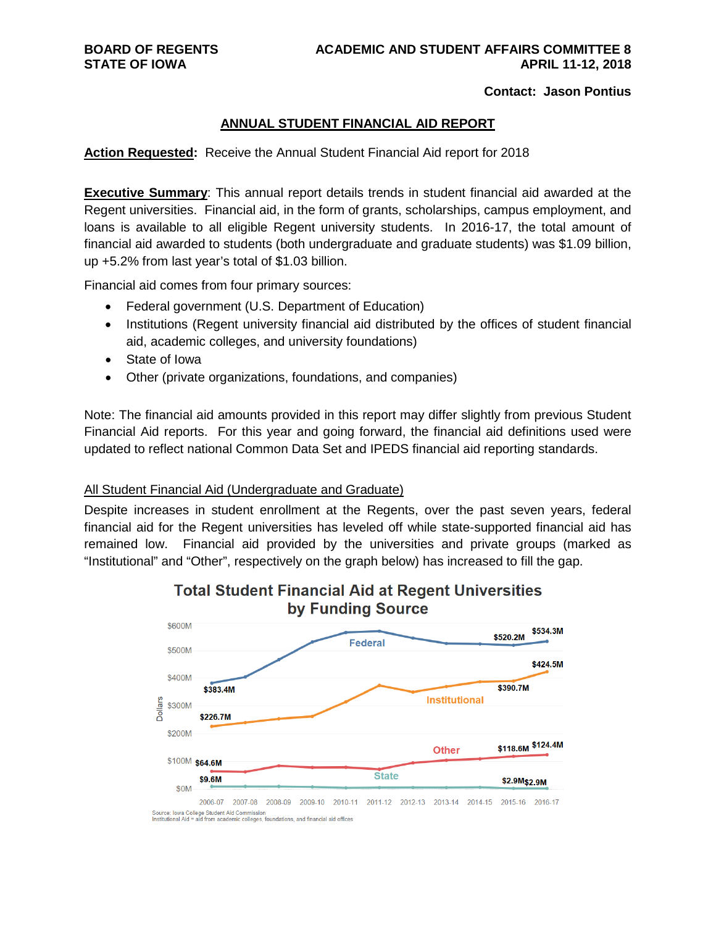#### **Contact: Jason Pontius**

#### **ANNUAL STUDENT FINANCIAL AID REPORT**

**Action Requested:** Receive the Annual Student Financial Aid report for 2018

**Executive Summary:** This annual report details trends in student financial aid awarded at the Regent universities. Financial aid, in the form of grants, scholarships, campus employment, and loans is available to all eligible Regent university students. In 2016-17, the total amount of financial aid awarded to students (both undergraduate and graduate students) was \$1.09 billion, up +5.2% from last year's total of \$1.03 billion.

Financial aid comes from four primary sources:

- Federal government (U.S. Department of Education)
- Institutions (Regent university financial aid distributed by the offices of student financial aid, academic colleges, and university foundations)
- State of Iowa
- Other (private organizations, foundations, and companies)

Note: The financial aid amounts provided in this report may differ slightly from previous Student Financial Aid reports. For this year and going forward, the financial aid definitions used were updated to reflect national Common Data Set and IPEDS financial aid reporting standards.

#### All Student Financial Aid (Undergraduate and Graduate)

Despite increases in student enrollment at the Regents, over the past seven years, federal financial aid for the Regent universities has leveled off while state-supported financial aid has remained low. Financial aid provided by the universities and private groups (marked as "Institutional" and "Other", respectively on the graph below) has increased to fill the gap.



### **Total Student Financial Aid at Regent Universities** by Funding Source

Institutional Aid = aid from academic colleges, foundations, and financial aid offices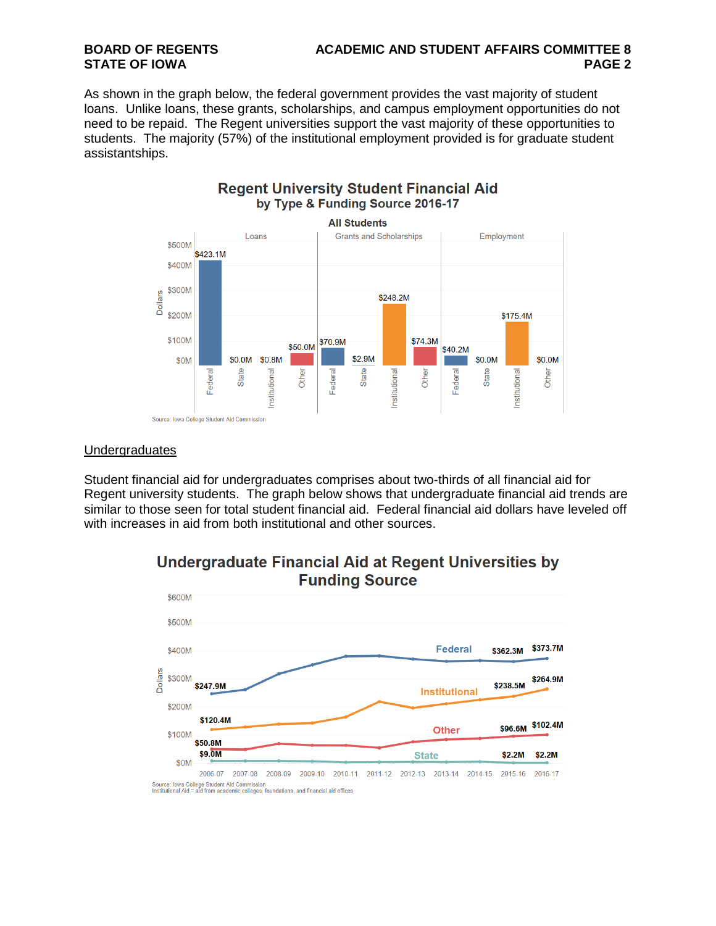# **BOARD OF REGENTS ACADEMIC AND STUDENT AFFAIRS COMMITTEE 8**

As shown in the graph below, the federal government provides the vast majority of student loans. Unlike loans, these grants, scholarships, and campus employment opportunities do not need to be repaid. The Regent universities support the vast majority of these opportunities to students. The majority (57%) of the institutional employment provided is for graduate student assistantships.



### **Regent University Student Financial Aid** by Type & Funding Source 2016-17

#### Undergraduates

Student financial aid for undergraduates comprises about two-thirds of all financial aid for Regent university students. The graph below shows that undergraduate financial aid trends are similar to those seen for total student financial aid. Federal financial aid dollars have leveled off with increases in aid from both institutional and other sources.



### **Undergraduate Financial Aid at Regent Universities by Funding Source**

Source: Iowa College Student Aid Commission<br>Institutional Aid = aid from academic colleges, foundations, and financial aid offices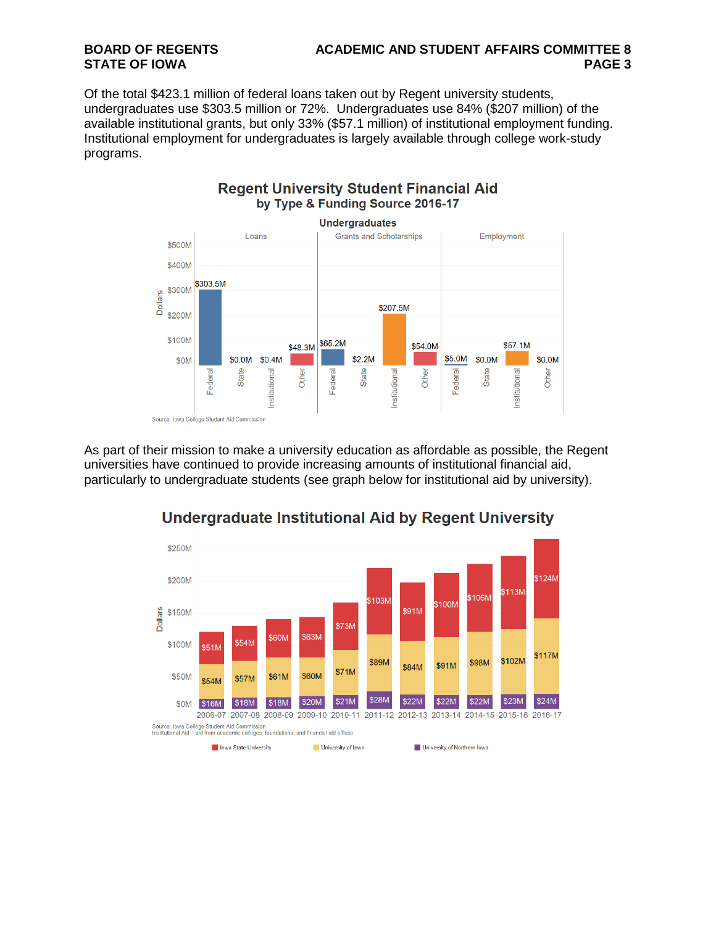# **BOARD OF REGENTS ACADEMIC AND STUDENT AFFAIRS COMMITTEE 8**

Of the total \$423.1 million of federal loans taken out by Regent university students, undergraduates use \$303.5 million or 72%. Undergraduates use 84% (\$207 million) of the available institutional grants, but only 33% (\$57.1 million) of institutional employment funding. Institutional employment for undergraduates is largely available through college work-study programs.



As part of their mission to make a university education as affordable as possible, the Regent universities have continued to provide increasing amounts of institutional financial aid, particularly to undergraduate students (see graph below for institutional aid by university).



### **Undergraduate Institutional Aid by Regent University**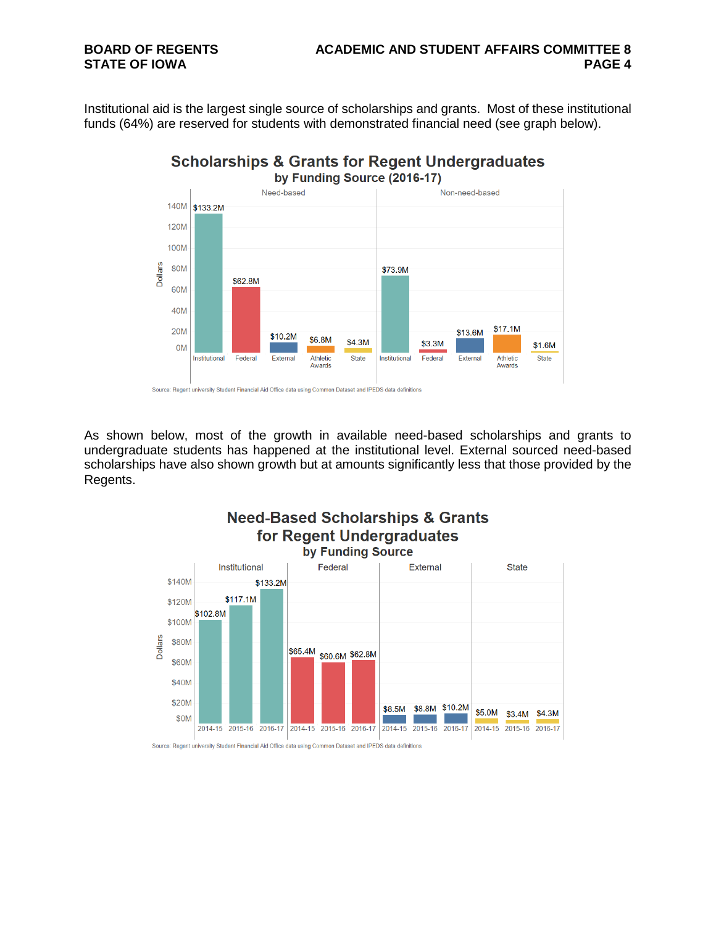# **BOARD OF REGENTS ACADEMIC AND STUDENT AFFAIRS COMMITTEE 8**

Institutional aid is the largest single source of scholarships and grants. Most of these institutional funds (64%) are reserved for students with demonstrated financial need (see graph below).



As shown below, most of the growth in available need-based scholarships and grants to undergraduate students has happened at the institutional level. External sourced need-based scholarships have also shown growth but at amounts significantly less that those provided by the Regents.

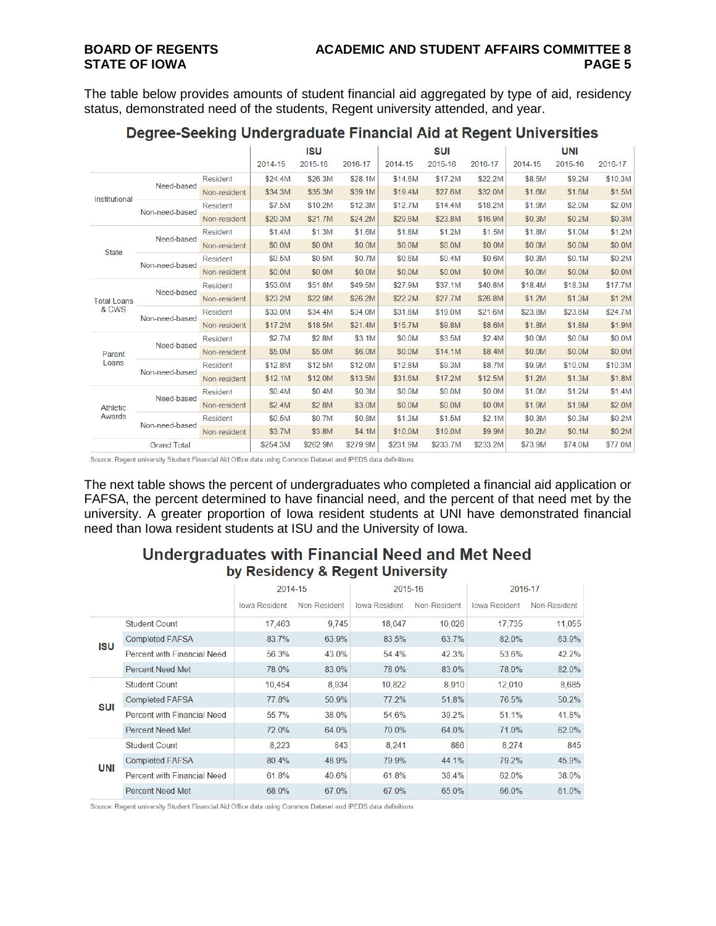The table below provides amounts of student financial aid aggregated by type of aid, residency status, demonstrated need of the students, Regent university attended, and year.

|                             |                |                 | <b>ISU</b> |          |          | SUI      |          |         | UNI     |         |         |
|-----------------------------|----------------|-----------------|------------|----------|----------|----------|----------|---------|---------|---------|---------|
|                             |                |                 | 2014-15    | 2015-16  | 2016-17  | 2014-15  | 2015-16  | 2016-17 | 2014-15 | 2015-16 | 2016-17 |
| Institutional               | Need-based     | <b>Resident</b> | \$24.4M    | \$26.3M  | \$28.1M  | \$14.6M  | \$17.2M  | \$22.2M | \$8.5M  | \$9.2M  | \$10.3M |
|                             |                | Non-resident    | \$34.3M    | \$35.3M  | \$39.1M  | \$19.4M  | \$27.6M  | \$32.0M | \$1.6M  | \$1.6M  | \$1.5M  |
|                             | Non-need-based | <b>Resident</b> | \$7.5M     | \$10.2M  | \$12.3M  | \$12.7M  | \$14.4M  | \$18.2M | \$1.9M  | \$2.0M  | \$2.0M  |
|                             |                | Non-resident    | \$20.3M    | \$21.7M  | \$24.2M  | \$29.6M  | \$23.8M  | \$16.9M | \$0.3M  | \$0.2M  | \$0.3M  |
|                             | Need-based     | <b>Resident</b> | \$1.4M     | \$1.3M   | \$1.6M   | \$1.8M   | \$1.2M   | \$1.5M  | \$1.8M  | \$1.0M  | \$1.2M  |
|                             |                | Non-resident    | \$0.0M     | \$0.0M   | \$0.0M   | \$0.0M   | \$0.0M   | \$0.0M  | \$0.0M  | \$0.0M  | \$0.0M  |
| <b>State</b>                | Non-need-based | <b>Resident</b> | \$0.5M     | \$0.5M   | \$0.7M   | \$0.6M   | \$0.4M   | \$0.6M  | \$0.3M  | \$0.1M  | \$0.2M  |
|                             |                | Non-resident    | \$0.0M     | \$0.0M   | \$0.0M   | \$0.0M   | \$0.0M   | \$0.0M  | \$0.0M  | \$0.0M  | \$0.0M  |
| <b>Total Loans</b><br>& CWS | Need-based     | <b>Resident</b> | \$53.0M    | \$51.8M  | \$49.5M  | \$27.9M  | \$37.1M  | \$40.8M | \$18.4M | \$18.3M | \$17.7M |
|                             |                | Non-resident    | \$23.2M    | \$22.9M  | \$26.2M  | \$22.2M  | \$27.7M  | \$26.8M | \$1.2M  | \$1.3M  | \$1.2M  |
|                             | Non-need-based | Resident        | \$33.0M    | \$34.4M  | \$34.0M  | \$31.8M  | \$19.0M  | \$21.6M | \$23.8M | \$23.6M | \$24.7M |
|                             |                | Non-resident    | \$17.2M    | \$18.5M  | \$21.4M  | \$15.7M  | \$9.8M   | \$8.6M  | \$1.8M  | \$1.8M  | \$1.9M  |
|                             | Need-based     | <b>Resident</b> | \$2.7M     | \$2.8M   | \$3.1M   | \$0.0M   | \$3.5M   | \$2.4M  | \$0.0M  | \$0.0M  | \$0.0M  |
| Parent                      |                | Non-resident    | \$5.0M     | \$5.0M   | \$6.0M   | \$0.0M   | \$14.1M  | \$8.4M  | \$0.0M  | \$0.0M  | \$0.0M  |
| Loans                       | Non-need-based | <b>Resident</b> | \$12.8M    | \$12.5M  | \$12.0M  | \$12.8M  | \$9.3M   | \$8.7M  | \$9.9M  | \$10.0M | \$10.3M |
|                             |                | Non-resident    | \$12.1M    | \$12.0M  | \$13.5M  | \$31.6M  | \$17.2M  | \$12.5M | \$1.2M  | \$1.3M  | \$1.8M  |
|                             | Need-based     | <b>Resident</b> | \$0.4M     | \$0.4M   | \$0.3M   | \$0.0M   | \$0.0M   | \$0.0M  | \$1.0M  | \$1.2M  | \$1.4M  |
| <b>Athletic</b><br>Awards   |                | Non-resident    | \$2.4M     | \$2.8M   | \$3.0M   | \$0.0M   | \$0.0M   | \$0.0M  | \$1.9M  | \$1.9M  | \$2.0M  |
|                             | Non-need-based | Resident        | \$0.5M     | \$0.7M   | \$0.8M   | \$1.3M   | \$1.5M   | \$2.1M  | \$0.3M  | \$0.3M  | \$0.2M  |
|                             |                | Non-resident    | \$3.7M     | \$3.8M   | \$4.1M   | \$10.0M  | \$10.0M  | \$9.9M  | \$0.2M  | \$0.1M  | \$0.2M  |
| <b>Grand Total</b>          |                | \$254.3M        | \$262.9M   | \$279.9M | \$231.9M | \$233.7M | \$233.2M | \$73.9M | \$74.0M | \$77.0M |         |

### Degree-Seeking Undergraduate Financial Aid at Regent Universities

Source: Regent university Student Financial Aid Office data using Common Dataset and IPEDS data definitions

The next table shows the percent of undergraduates who completed a financial aid application or FAFSA, the percent determined to have financial need, and the percent of that need met by the university. A greater proportion of Iowa resident students at UNI have demonstrated financial need than Iowa resident students at ISU and the University of Iowa.

### Undergraduates with Financial Need and Met Need by Residency & Regent University

|            |                                    | 2014-15              |              | 2015-16              |              | 2016-17              |              |  |
|------------|------------------------------------|----------------------|--------------|----------------------|--------------|----------------------|--------------|--|
|            |                                    | <b>Iowa Resident</b> | Non-Resident | <b>Iowa Resident</b> | Non-Resident | <b>Iowa Resident</b> | Non-Resident |  |
| <b>ISU</b> | <b>Student Count</b>               | 17.463               | 9.745        | 18.047               | 10.026       | 17.735               | 11,055       |  |
|            | <b>Completed FAFSA</b>             | 83.7%                | 63.9%        | 83.5%                | 63.7%        | 82.0%                | 63.9%        |  |
|            | Percent with Financial Need        | 56.3%                | 43.0%        | 54.4%                | 42.3%        | 53.6%                | 42.2%        |  |
|            | <b>Percent Need Met</b>            | 78.0%                | 83.0%        | 78.0%                | 83.0%        | 78.0%                | 82.0%        |  |
| <b>SUI</b> | <b>Student Count</b>               | 10,454               | 8,934        | 10,822               | 8,910        | 12,010               | 8,685        |  |
|            | <b>Completed FAFSA</b>             | 77.8%                | 50.9%        | 77.2%                | 51.8%        | 76.5%                | 50.2%        |  |
|            | <b>Percent with Financial Need</b> | 55.7%                | 38.0%        | 54.6%                | 39.2%        | 51.1%                | 41.8%        |  |
|            | Percent Need Met                   | 72.0%                | 64.0%        | 70.0%                | 64.0%        | 71.0%                | 62.0%        |  |
| <b>UNI</b> | <b>Student Count</b>               | 8.223                | 843          | 8.241                | 886          | 8.274                | 845          |  |
|            | <b>Completed FAFSA</b>             | 80.4%                | 48.9%        | 79.9%                | 44.1%        | 79.2%                | 45.9%        |  |
|            | Percent with Financial Need        | 61.8%                | 40.6%        | 61.8%                | 38.4%        | 62.0%                | 38.0%        |  |
|            | <b>Percent Need Met</b>            | 68.0%                | 67.0%        | 67.0%                | 65.0%        | 66.0%                | 61.0%        |  |

Source: Regent university Student Financial Aid Office data using Common Dataset and IPEDS data definitions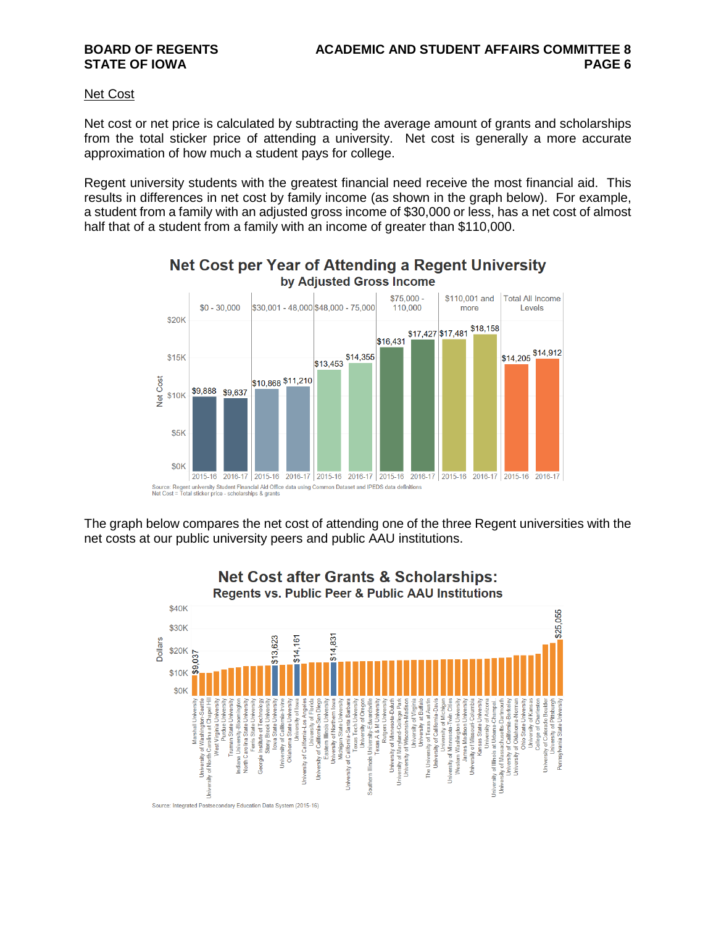#### Net Cost

Net cost or net price is calculated by subtracting the average amount of grants and scholarships from the total sticker price of attending a university. Net cost is generally a more accurate approximation of how much a student pays for college.

Regent university students with the greatest financial need receive the most financial aid. This results in differences in net cost by family income (as shown in the graph below). For example, a student from a family with an adjusted gross income of \$30,000 or less, has a net cost of almost half that of a student from a family with an income of greater than \$110,000.



Net Cost per Year of Attending a Regent University by Adjusted Gross Income

The graph below compares the net cost of attending one of the three Regent universities with the net costs at our public university peers and public AAU institutions.



**Net Cost after Grants & Scholarships:**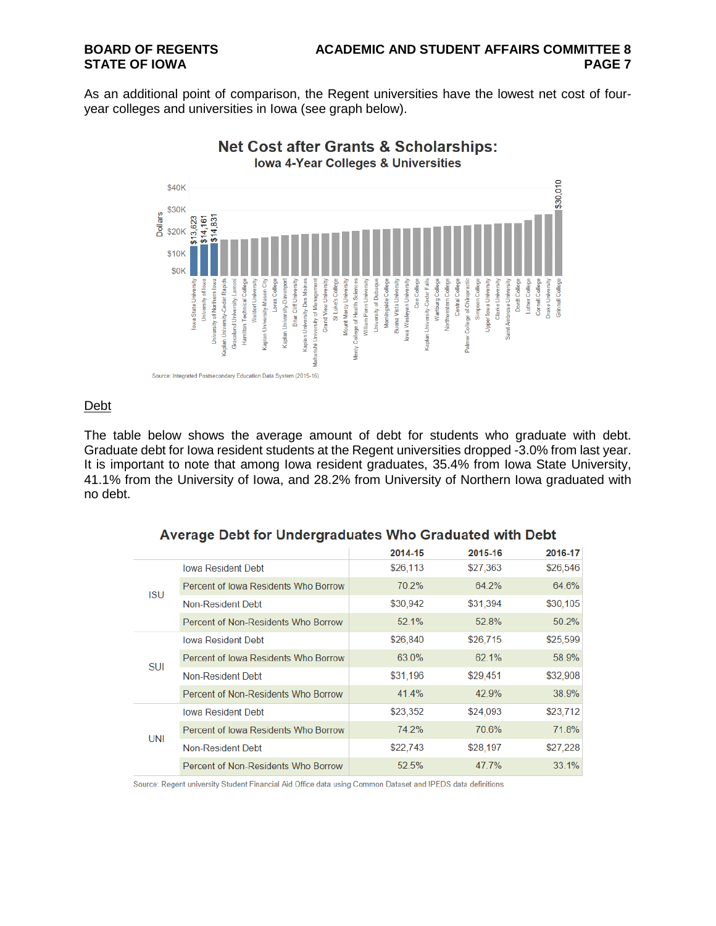As an additional point of comparison, the Regent universities have the lowest net cost of fouryear colleges and universities in Iowa (see graph below).



#### Debt

The table below shows the average amount of debt for students who graduate with debt. Graduate debt for Iowa resident students at the Regent universities dropped -3.0% from last year. It is important to note that among Iowa resident graduates, 35.4% from Iowa State University, 41.1% from the University of Iowa, and 28.2% from University of Northern Iowa graduated with no debt.

|            |                                      | 2014-15  | 2015-16  | 2016-17  |
|------------|--------------------------------------|----------|----------|----------|
| <b>ISU</b> | <b>Iowa Resident Debt</b>            | \$26,113 | \$27,363 | \$26,546 |
|            | Percent of Jowa Residents Who Borrow | 70.2%    | 64.2%    | 64.6%    |
|            | Non-Resident Debt                    | \$30,942 | \$31,394 | \$30,105 |
|            | Percent of Non-Residents Who Borrow  | 52.1%    | 52.8%    | 50.2%    |
| <b>SUI</b> | <b>Iowa Resident Debt</b>            | \$26,840 | \$26,715 | \$25,599 |
|            | Percent of Iowa Residents Who Borrow | 63.0%    | 62.1%    | 58.9%    |
|            | Non-Resident Debt                    | \$31,196 | \$29,451 | \$32,908 |
|            | Percent of Non-Residents Who Borrow  | 41.4%    | 42.9%    | 38.9%    |
| <b>UNI</b> | <b>Iowa Resident Debt</b>            | \$23,352 | \$24,093 | \$23,712 |
|            | Percent of Iowa Residents Who Borrow | 74.2%    | 70.6%    | 71.8%    |
|            | Non-Resident Debt                    | \$22,743 | \$28,197 | \$27,228 |
|            | Percent of Non-Residents Who Borrow  | 52.5%    | 47.7%    | 33.1%    |

#### Average Debt for Undergraduates Who Graduated with Debt

Source: Regent university Student Financial Aid Office data using Common Dataset and IPEDS data definitions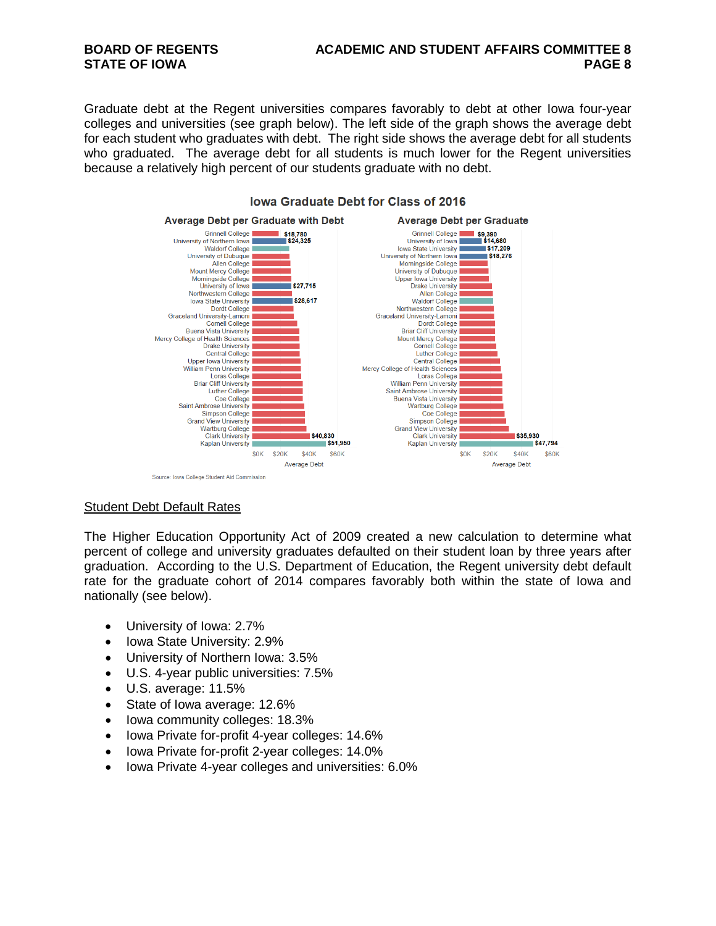# **BOARD OF REGENTS ACADEMIC AND STUDENT AFFAIRS COMMITTEE 8**

Graduate debt at the Regent universities compares favorably to debt at other Iowa four-year colleges and universities (see graph below). The left side of the graph shows the average debt for each student who graduates with debt. The right side shows the average debt for all students who graduated. The average debt for all students is much lower for the Regent universities because a relatively high percent of our students graduate with no debt.



#### lowa Graduate Debt for Class of 2016

#### Student Debt Default Rates

The Higher Education Opportunity Act of 2009 created a new calculation to determine what percent of college and university graduates defaulted on their student loan by three years after graduation. According to the U.S. Department of Education, the Regent university debt default rate for the graduate cohort of 2014 compares favorably both within the state of Iowa and nationally (see below).

- University of Iowa: 2.7%
- Iowa State University: 2.9%
- University of Northern Iowa: 3.5%
- U.S. 4-year public universities: 7.5%
- U.S. average: 11.5%
- State of Iowa average: 12.6%
- Iowa community colleges: 18.3%
- Iowa Private for-profit 4-year colleges: 14.6%
- Iowa Private for-profit 2-year colleges: 14.0%
- Iowa Private 4-year colleges and universities: 6.0%